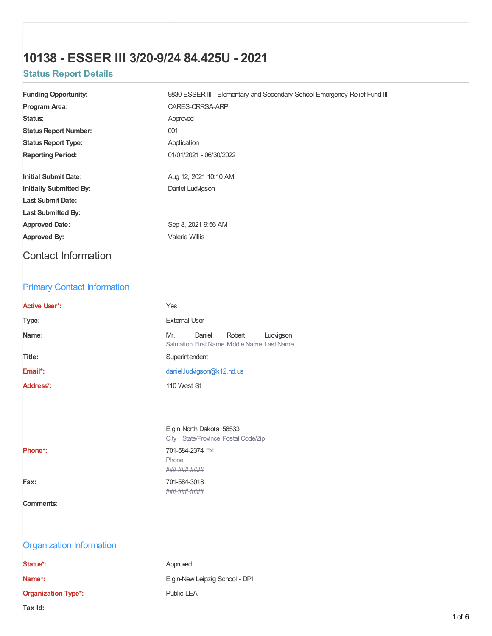# **10138 - ESSER III 3/20-9/24 84.425U - 2021**

# **Status Report Details**

| <b>Funding Opportunity:</b>    | 9830-ESSER III - Elementary and Secondary School Emergency Relief Fund III |  |  |
|--------------------------------|----------------------------------------------------------------------------|--|--|
| Program Area:                  | CARES-CRRSA-ARP                                                            |  |  |
| Status:                        | Approved                                                                   |  |  |
| <b>Status Report Number:</b>   | 001                                                                        |  |  |
| <b>Status Report Type:</b>     | Application                                                                |  |  |
| <b>Reporting Period:</b>       | 01/01/2021 - 06/30/2022                                                    |  |  |
|                                |                                                                            |  |  |
| <b>Initial Submit Date:</b>    | Aug 12, 2021 10:10 AM                                                      |  |  |
| <b>Initially Submitted By:</b> | Daniel Ludvigson                                                           |  |  |
| <b>Last Submit Date:</b>       |                                                                            |  |  |
| <b>Last Submitted By:</b>      |                                                                            |  |  |
| <b>Approved Date:</b>          | Sep 8, 2021 9:56 AM                                                        |  |  |
| Approved By:                   | Valerie Willis                                                             |  |  |
|                                |                                                                            |  |  |

# Contact Information

## Primary Contact Information

| <b>Active User*:</b> | Yes                                                                                 |
|----------------------|-------------------------------------------------------------------------------------|
| Type:                | <b>External User</b>                                                                |
| Name:                | Mr.<br>Daniel<br>Robert<br>Ludvigson<br>Salutation First Name Middle Name Last Name |
| Title:               | Superintendent                                                                      |
| Email*:              | daniel.ludvigson@k12.nd.us                                                          |
| Address*:            | 110 West St                                                                         |
|                      |                                                                                     |

|                      | <b>CITY STATE/Provinc</b>                                         |
|----------------------|-------------------------------------------------------------------|
| Phone <sup>*</sup> : | 701-584-2374 Ext.                                                 |
|                      | Phone                                                             |
|                      | <del>*****</del> ***** *******<br><del>*****************</del> ** |
| Fax:                 | 701-584-3018                                                      |

Phone ####-##### ####-#####

Elgin North Dakota 58533 City State/Province Postal Code/Zip

## **Comments:**

# Organization Information

| Status*:                   | Approved                       |
|----------------------------|--------------------------------|
| Name*:                     | Elgin-New Leipzig School - DPI |
| <b>Organization Type*:</b> | Public LEA                     |
| Tax Id:                    |                                |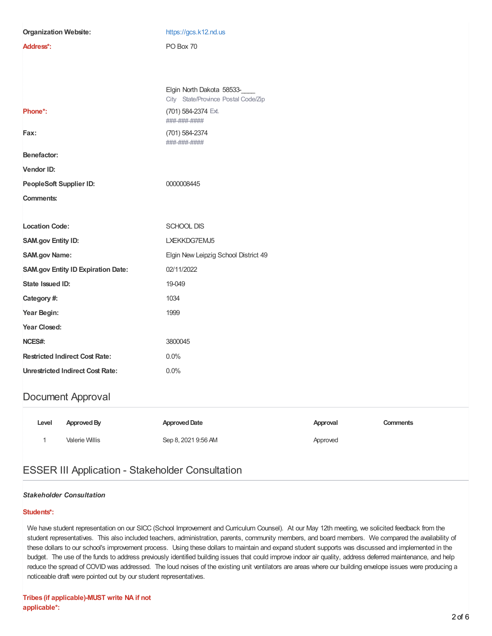| <b>Organization Website:</b>              | https://gcs.k12.nd.us                                            |  |  |
|-------------------------------------------|------------------------------------------------------------------|--|--|
| Address*:                                 | PO Box 70                                                        |  |  |
|                                           |                                                                  |  |  |
|                                           |                                                                  |  |  |
|                                           | Elgin North Dakota 58533-<br>City State/Province Postal Code/Zip |  |  |
| Phone*:                                   | (701) 584-2374 Ext.<br>###-###-####                              |  |  |
| Fax:                                      | (701) 584-2374<br>###-###-####                                   |  |  |
| Benefactor:                               |                                                                  |  |  |
| Vendor ID:                                |                                                                  |  |  |
| PeopleSoft Supplier ID:                   | 0000008445                                                       |  |  |
| <b>Comments:</b>                          |                                                                  |  |  |
|                                           |                                                                  |  |  |
| <b>Location Code:</b>                     | SCHOOL DIS                                                       |  |  |
| SAM.gov Entity ID:                        | LXEKKDG7EMJ5                                                     |  |  |
| <b>SAM.gov Name:</b>                      | Elgin New Leipzig School District 49                             |  |  |
| <b>SAM.gov Entity ID Expiration Date:</b> | 02/11/2022                                                       |  |  |
| State Issued ID:                          | 19-049                                                           |  |  |
| Category #:                               | 1034                                                             |  |  |
| Year Begin:                               | 1999                                                             |  |  |
| Year Closed:                              |                                                                  |  |  |
| NCES#:                                    | 3800045                                                          |  |  |
| <b>Restricted Indirect Cost Rate:</b>     | 0.0%                                                             |  |  |
| <b>Unrestricted Indirect Cost Rate:</b>   | 0.0%                                                             |  |  |
| Document Approval                         |                                                                  |  |  |

# **Level ApprovedBy ApprovedDate Approval Comments** 1 Valerie Willis Sep 8, 2021 9:56 AM Approved

# ESSER III Application - Stakeholder Consultation

### *Stakeholder Consultation*

### **Students\*:**

We have student representation on our SICC (School Improvement and Curriculum Counsel). At our May 12th meeting, we solicited feedback from the student representatives. This also included teachers, administration, parents, community members, and board members. We compared the availability of these dollars to our school's improvement process. Using these dollars to maintain and expand student supports was discussed and implemented in the budget. The use of the funds to address previously identified building issues that could improve indoor air quality, address deferred maintenance, and help reduce the spread of COVID was addressed. The loud noises of the existing unit ventilators are areas where our building envelope issues were producing a noticeable draft were pointed out by our student representatives.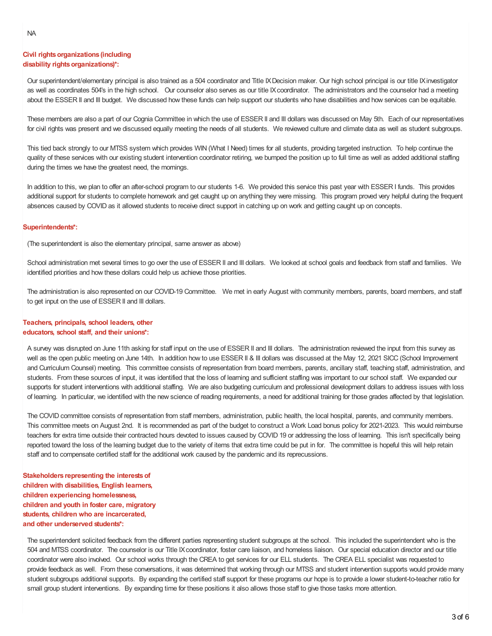#### **Civil rights organizations (including**  $disability$  *rights organizations)\*:*

Our superintendent/elementary principal is also trained as a 504 coordinator and Title IXDecision maker. Our high school principal is our title IXinvestigator as well as coordinates 504's in the high school. Our counselor also serves as our title IXcoordinator. The administrators and the counselor had a meeting about the ESSER II and III budget. We discussed how these funds can help support our students who have disabilities and how services can be equitable.

These members are also a part of our Cognia Committee in which the use of ESSER II and III dollars was discussed on May 5th. Each of our representatives for civil rights was present and we discussed equally meeting the needs of all students. We reviewed culture and climate data as well as student subgroups.

This tied back strongly to our MTSS system which provides WIN (What I Need) times for all students, providing targeted instruction. To help continue the quality of these services with our existing student intervention coordinator retiring, we bumped the position up to full time as well as added additional staffing during the times we have the greatest need, the mornings.

In addition to this, we plan to offer an after-school program to our students 1-6. We provided this service this past year with ESSER I funds. This provides additional support for students to complete homework and get caught up on anything they were missing. This program proved very helpful during the frequent absences caused by COVID as it allowed students to receive direct support in catching up on work and getting caught up on concepts.

#### **Superintendents\*:**

(The superintendent is also the elementary principal, same answer as above)

School administration met several times to go over the use of ESSER II and III dollars. We looked at school goals and feedback from staff and families. We identified priorities and how these dollars could help us achieve those priorities.

The administration is also represented on our COVID-19 Committee. We met in early August with community members, parents, board members, and staff to get input on the use of ESSER II and III dollars.

#### **Teachers, principals, school leaders, other educators, school staff, and their unions\*:**

A survey was disrupted on June 11th asking for staff input on the use of ESSER II and III dollars. The administration reviewed the input from this survey as well as the open public meeting on June 14th. In addition how to use ESSER II & III dollars was discussed at the May 12, 2021 SICC (School Improvement and Curriculum Counsel) meeting. This committee consists of representation from board members, parents, ancillary staff, teaching staff, administration, and students. From these sources of input, it was identified that the loss of learning and sufficient staffing was important to our school staff. We expanded our supports for student interventions with additional staffing. We are also budgeting curriculum and professional development dollars to address issues with loss of learning. In particular, we identified with the new science of reading requirements, a need for additional training for those grades affected by that legislation.

The COVID committee consists of representation from staff members, administration, public health, the local hospital, parents, and community members. This committee meets on August 2nd. It is recommended as part of the budget to construct a Work Load bonus policy for 2021-2023. This would reimburse teachers for extra time outside their contracted hours devoted to issues caused by COVID 19 or addressing the loss of learning. This isn't specifically being reported toward the loss of the learning budget due to the variety of items that extra time could be put in for. The committee is hopeful this will help retain staff and to compensate certified staff for the additional work caused by the pandemic and its reprecussions.

**Stakeholders representing the interestsof children with disabilities, English learners, children experiencing homelessness, children and youth in foster care, migratory students, children who are incarcerated, and other underserved students\*:**

The superintendent solicited feedback from the different parties representing student subgroups at the school. This included the superintendent who is the 504 and MTSS coordinator. The counselor is our Title IXcoordinator, foster care liaison, and homeless liaison. Our special education director and our title coordinator were also involved. Our school works through the CREA to get services for our ELL students. The CREA ELL specialist was requested to provide feedback as well. From these conversations, it was determined that working through our MTSS and student intervention supports would provide many student subgroups additional supports. By expanding the certified staff support for these programs our hope is to provide a lower student-to-teacher ratio for small group student interventions. By expanding time for these positions it also allows those staff to give those tasks more attention.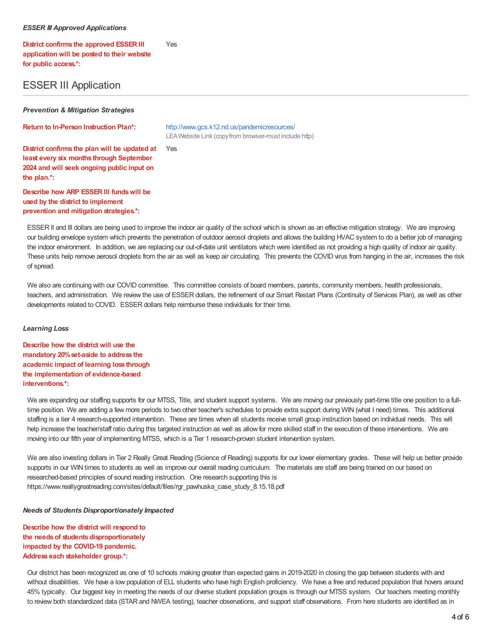#### *ESSER III Approved Applications*

**District confirms the approved ESSER III application will be posted to their website for public access.\*:** Yes

# ESSER III Application

*Prevention & Mitigation Strategies*

**Return to In-Person Instruction Plan\*:** <http://www.gcs.k12.nd.us/pandemicresources/> LEAWebsite Link (copyfrom browser-must include http)

**District confirms the plan will be updated at least every six months through September 2024 and will seek ongoing public input on the plan.\*:** Yes

**Describe how ARP ESSER III fundswill be used by the district to implement prevention and mitigation strategies.\*:**

ESSER II and III dollars are being used to improve the indoor air quality of the school which is shown as an effective mitigation strategy. We are improving our building envelope system which prevents the penetration of outdoor aerosol droplets and allows the building HVAC system to do a better job of managing the indoor environment. In addition, we are replacing our out-of-date unit ventilators which were identified as not providing a high quality of indoor air quality. These units help remove aerosol droplets from the air as well as keep air circulating. This prevents the COVID virus from hanging in the air, increases the risk of spread.

We also are continuing with our COVID committee. This committee consists of board members, parents, community members, health professionals, teachers, and administration. We review the use of ESSER dollars, the refinement of our Smart Restart Plans (Continuity of Services Plan), as well as other developments related to COVID. ESSER dollars help reimburse these individuals for their time.

#### *Learning Loss*

**Describe how the district will use the mandatory 20%set-aside to address the academic impact of learning loss through the implementation of evidence-based interventions.\*:**

We are expanding our staffing supports for our MTSS, Title, and student support systems. We are moving our previously part-time title one position to a fulltime position. We are adding a few more periods to two other teacher's schedules to provide extra support during WIN (what I need) times. This additional staffing is a tier 4 research-supported intervention. These are times when all students receive small group instruction based on individual needs. This will help increase the teacher/staff ratio during this targeted instruction as well as allow for more skilled staff in the execution of these interventions. We are moving into our fifth year of implementing MTSS, which is a Tier 1 research-proven student intervention system.

We are also investing dollars in Tier 2 Really Great Reading (Science of Reading) supports for our lower elementary grades. These will help us better provide supports in our WIN times to students as well as improve our overall reading curriculum. The materials are staff are being trained on our based on researched-based principles of sound reading instruction. One research supporting this is https://www.reallygreatreading.com/sites/default/files/rgr\_pawhuska\_case\_study\_8.15.18.pdf

#### *Needs of Students Disproportionately Impacted*

**Describe how the district will respond to the needsof studentsdisproportionately impacted by the COVID-19 pandemic. Address each stakeholder group.\*:**

Our district has been recognized as one of 10 schools making greater than expected gains in 2019-2020 in closing the gap between students with and without disabilities. We have a low population of ELL students who have high English proficiency. We have a free and reduced population that hovers around 45% typically. Our biggest key in meeting the needs of our diverse student population groups is through our MTSS system. Our teachers meeting monthly to review both standardized data (STAR and NWEA testing), teacher observations, and support staff observations. From here students are identified as in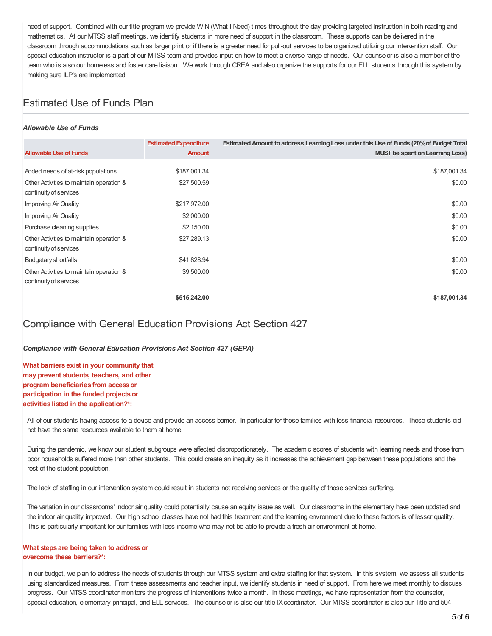need of support. Combined with our title program we provide WIN (What I Need) times throughout the day providing targeted instruction in both reading and mathematics. At our MTSS staff meetings, we identify students in more need of support in the classroom. These supports can be delivered in the classroom through accommodations such as larger print or if there is a greater need for pull-out services to be organized utilizing our intervention staff. Our special education instructor is a part of our MTSS team and provides input on how to meet a diverse range of needs. Our counselor is also a member of the team who is also our homeless and foster care liaison. We work through CREA and also organize the supports for our ELL students through this system by making sure ILP's are implemented.

# Estimated Use of Funds Plan

#### *Allowable Use of Funds*

| <b>Allowable Use of Funds</b>                                      | <b>Estimated Expenditure</b><br><b>Amount</b> | Estimated Amount to address Learning Loss under this Use of Funds (20% of Budget Total<br><b>MUST</b> be spent on Learning Loss) |
|--------------------------------------------------------------------|-----------------------------------------------|----------------------------------------------------------------------------------------------------------------------------------|
|                                                                    |                                               |                                                                                                                                  |
| Added needs of at-risk populations                                 | \$187,001.34                                  | \$187,001.34                                                                                                                     |
| Other Activities to maintain operation &<br>continuity of services | \$27,500.59                                   | \$0.00                                                                                                                           |
| Improving Air Quality                                              | \$217,972.00                                  | \$0.00                                                                                                                           |
| Improving Air Quality                                              | \$2,000.00                                    | \$0.00                                                                                                                           |
| Purchase cleaning supplies                                         | \$2,150.00                                    | \$0.00                                                                                                                           |
| Other Activities to maintain operation &<br>continuity of services | \$27,289.13                                   | \$0.00                                                                                                                           |
| Budgetary shortfalls                                               | \$41,828.94                                   | \$0.00                                                                                                                           |
| Other Activities to maintain operation &<br>continuity of services | \$9,500.00                                    | \$0.00                                                                                                                           |
|                                                                    | \$515,242.00                                  | \$187,001.34                                                                                                                     |

## Compliance with General Education Provisions Act Section 427

#### *Compliance with General Education Provisions Act Section 427 (GEPA)*

**What barriers exist in your community that may prevent students, teachers, and other program beneficiaries from accessor participation in the funded projectsor activities listed in the application?\*:**

All of our students having access to a device and provide an access barrier. In particular for those families with less financial resources. These students did not have the same resources available to them at home.

During the pandemic, we know our student subgroups were affected disproportionately. The academic scores of students with learning needs and those from poor households suffered more than other students. This could create an inequity as it increases the achievement gap between these populations and the rest of the student population.

The lack of staffing in our intervention system could result in students not receiving services or the quality of those services suffering.

The variation in our classrooms' indoor air quality could potentially cause an equity issue as well. Our classrooms in the elementary have been updated and the indoor air quality improved. Our high school classes have not had this treatment and the learning environment due to these factors is of lesser quality. This is particularly important for our families with less income who may not be able to provide a fresh air environment at home.

#### **What steps are being taken to addressor overcome these barriers?\*:**

In our budget, we plan to address the needs of students through our MTSS system and extra staffing for that system. In this system, we assess all students using standardized measures. From these assessments and teacher input, we identify students in need of support. From here we meet monthly to discuss progress. Our MTSS coordinator monitors the progress of interventions twice a month. In these meetings, we have representation from the counselor, special education, elementary principal, and ELL services. The counselor is also our title IX coordinator. Our MTSS coordinator is also our Title and 504